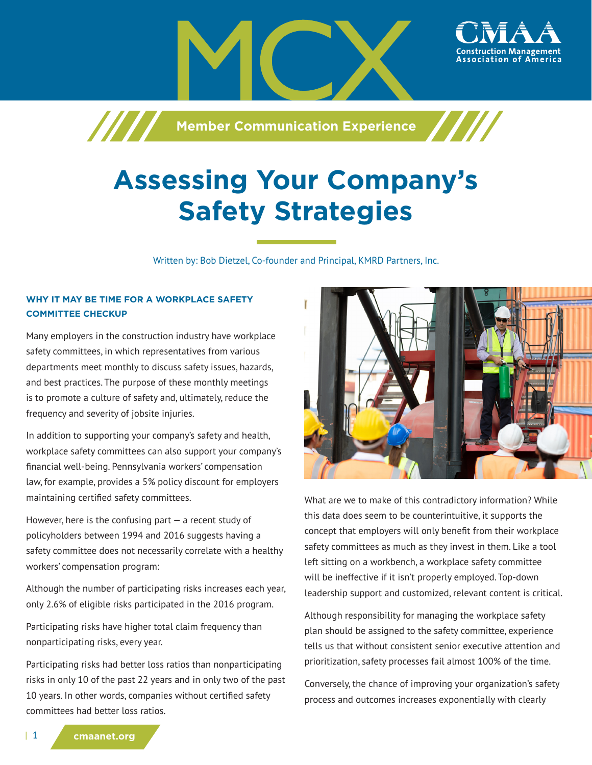

# **Assessing Your Company's Safety Strategies**

Written by: Bob Dietzel, Co-founder and Principal, KMRD Partners, Inc.

## **WHY IT MAY BE TIME FOR A WORKPLACE SAFETY COMMITTEE CHECKUP**

Many employers in the construction industry have workplace safety committees, in which representatives from various departments meet monthly to discuss safety issues, hazards, and best practices. The purpose of these monthly meetings is to promote a culture of safety and, ultimately, reduce the frequency and severity of jobsite injuries.

In addition to supporting your company's safety and health, workplace safety committees can also support your company's financial well-being. Pennsylvania workers' compensation law, for example, provides a 5% policy discount for employers maintaining certified safety committees.

However, here is the confusing part  $-$  a recent study of policyholders between 1994 and 2016 suggests having a safety committee does not necessarily correlate with a healthy workers' compensation program:

Although the number of participating risks increases each year, only 2.6% of eligible risks participated in the 2016 program.

Participating risks have higher total claim frequency than nonparticipating risks, every year.

Participating risks had better loss ratios than nonparticipating risks in only 10 of the past 22 years and in only two of the past 10 years. In other words, companies without certified safety committees had better loss ratios.



What are we to make of this contradictory information? While this data does seem to be counterintuitive, it supports the concept that employers will only benefit from their workplace safety committees as much as they invest in them. Like a tool left sitting on a workbench, a workplace safety committee will be ineffective if it isn't properly employed. Top-down leadership support and customized, relevant content is critical.

Although responsibility for managing the workplace safety plan should be assigned to the safety committee, experience tells us that without consistent senior executive attention and prioritization, safety processes fail almost 100% of the time.

Conversely, the chance of improving your organization's safety process and outcomes increases exponentially with clearly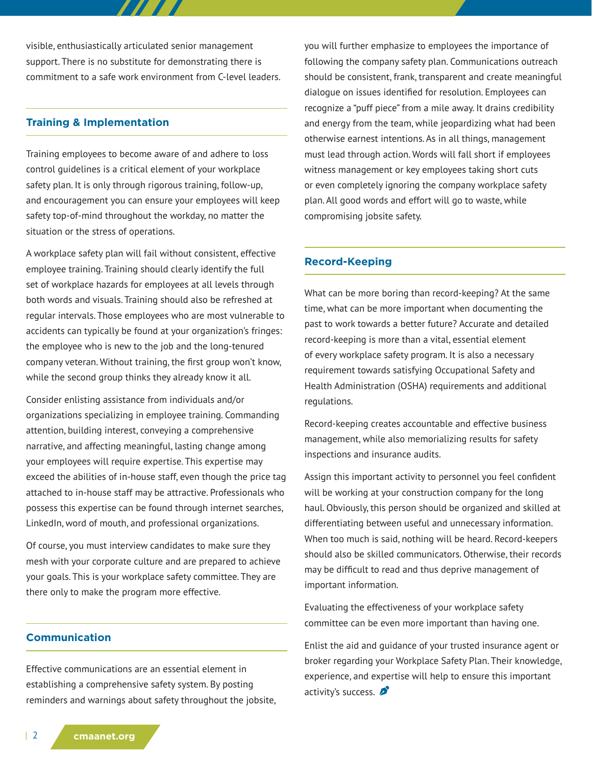visible, enthusiastically articulated senior management support. There is no substitute for demonstrating there is commitment to a safe work environment from C-level leaders.

77 T T

## **Training & Implementation**

Training employees to become aware of and adhere to loss control guidelines is a critical element of your workplace safety plan. It is only through rigorous training, follow-up, and encouragement you can ensure your employees will keep safety top-of-mind throughout the workday, no matter the situation or the stress of operations.

A workplace safety plan will fail without consistent, effective employee training. Training should clearly identify the full set of workplace hazards for employees at all levels through both words and visuals. Training should also be refreshed at regular intervals. Those employees who are most vulnerable to accidents can typically be found at your organization's fringes: the employee who is new to the job and the long-tenured company veteran. Without training, the first group won't know, while the second group thinks they already know it all.

Consider enlisting assistance from individuals and/or organizations specializing in employee training. Commanding attention, building interest, conveying a comprehensive narrative, and affecting meaningful, lasting change among your employees will require expertise. This expertise may exceed the abilities of in-house staff, even though the price tag attached to in-house staff may be attractive. Professionals who possess this expertise can be found through internet searches, LinkedIn, word of mouth, and professional organizations.

Of course, you must interview candidates to make sure they mesh with your corporate culture and are prepared to achieve your goals. This is your workplace safety committee. They are there only to make the program more effective.

## **Communication**

Effective communications are an essential element in establishing a comprehensive safety system. By posting reminders and warnings about safety throughout the jobsite, you will further emphasize to employees the importance of following the company safety plan. Communications outreach should be consistent, frank, transparent and create meaningful dialogue on issues identified for resolution. Employees can recognize a "puff piece" from a mile away. It drains credibility and energy from the team, while jeopardizing what had been otherwise earnest intentions. As in all things, management must lead through action. Words will fall short if employees witness management or key employees taking short cuts or even completely ignoring the company workplace safety plan. All good words and effort will go to waste, while compromising jobsite safety.

#### **Record-Keeping**

What can be more boring than record-keeping? At the same time, what can be more important when documenting the past to work towards a better future? Accurate and detailed record-keeping is more than a vital, essential element of every workplace safety program. It is also a necessary requirement towards satisfying Occupational Safety and Health Administration (OSHA) requirements and additional regulations.

Record-keeping creates accountable and effective business management, while also memorializing results for safety inspections and insurance audits.

Assign this important activity to personnel you feel confident will be working at your construction company for the long haul. Obviously, this person should be organized and skilled at differentiating between useful and unnecessary information. When too much is said, nothing will be heard. Record-keepers should also be skilled communicators. Otherwise, their records may be difficult to read and thus deprive management of important information.

Evaluating the effectiveness of your workplace safety committee can be even more important than having one.

Enlist the aid and guidance of your trusted insurance agent or broker regarding your Workplace Safety Plan. Their knowledge, experience, and expertise will help to ensure this important activity's success.